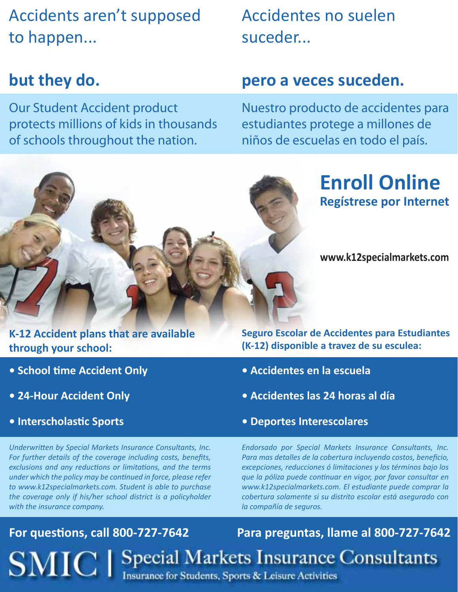Accidents aren't supposed to happen...

### **but they do.**

Our Student Accident product protects millions of kids in thousands of schools throughout the nation.

Accidentes no suelen suceder...

### **pero a veces suceden.**

Nuestro producto de accidentes para estudiantes protege a millones de niños de escuelas en todo el país.

## **Enroll Online Regístrese por Internet**

**www.k12specialmarkets.com**

**K-12 Accident plans that are available through your school:**

- **School time Accident Only**
- **24-Hour Accident Only**
- **Interscholastic Sports**

*Underwritten by Special Markets Insurance Consultants, Inc. For further details of the coverage including costs, benefits, exclusions and any reductions or limitations, and the terms under which the policy may be continued in force, please refer to www.k12specialmarkets.com. Student is able to purchase the coverage only if his/her school district is a policyholder with the insurance company.*

**Seguro Escolar de Accidentes para Estudiantes (K-12) disponible a travez de su esculea:**

- **Accidentes en la escuela**
- **Accidentes las 24 horas al día**
- **Deportes Interescolares**

*Endorsado por Special Markets Insurance Consultants, Inc. Para mas detalles de la cobertura incluyendo costos, beneficio, excepciones, reducciones ó limitaciones y los términos bajo los que la póliza puede continuar en vigor, por favor consultar en www.k12specialmarkets.com. El estudiante puede comprar la cobertura solamente si su distrito escolar está asegurado con la compañía de seguros.*

**For questions, call 800-727-7642 Para preguntas, llame al 800-727-7642 SMIC** | Special Markets Insurance Consultants